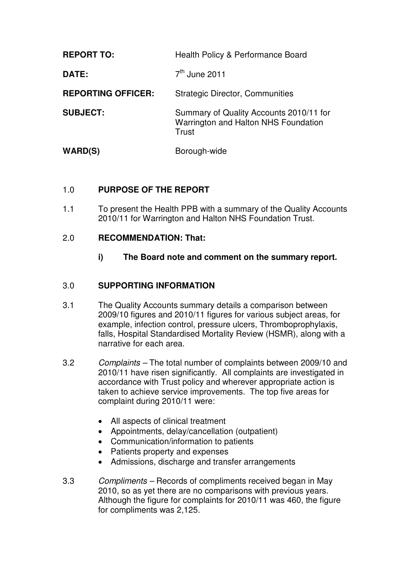| <b>REPORT TO:</b>         | Health Policy & Performance Board                                                        |
|---------------------------|------------------------------------------------------------------------------------------|
| <b>DATE:</b>              | $7th$ June 2011                                                                          |
| <b>REPORTING OFFICER:</b> | <b>Strategic Director, Communities</b>                                                   |
| <b>SUBJECT:</b>           | Summary of Quality Accounts 2010/11 for<br>Warrington and Halton NHS Foundation<br>Trust |
| WARD(S)                   | Borough-wide                                                                             |

### 1.0 **PURPOSE OF THE REPORT**

1.1 To present the Health PPB with a summary of the Quality Accounts 2010/11 for Warrington and Halton NHS Foundation Trust.

#### 2.0 **RECOMMENDATION: That:**

**i) The Board note and comment on the summary report.** 

#### 3.0 **SUPPORTING INFORMATION**

- 3.1 The Quality Accounts summary details a comparison between 2009/10 figures and 2010/11 figures for various subject areas, for example, infection control, pressure ulcers, Thromboprophylaxis, falls, Hospital Standardised Mortality Review (HSMR), along with a narrative for each area.
- 3.2 Complaints The total number of complaints between 2009/10 and 2010/11 have risen significantly. All complaints are investigated in accordance with Trust policy and wherever appropriate action is taken to achieve service improvements. The top five areas for complaint during 2010/11 were:
	- All aspects of clinical treatment
	- Appointments, delay/cancellation (outpatient)
	- Communication/information to patients
	- Patients property and expenses
	- Admissions, discharge and transfer arrangements
- 3.3 Compliments Records of compliments received began in May 2010, so as yet there are no comparisons with previous years. Although the figure for complaints for 2010/11 was 460, the figure for compliments was 2,125.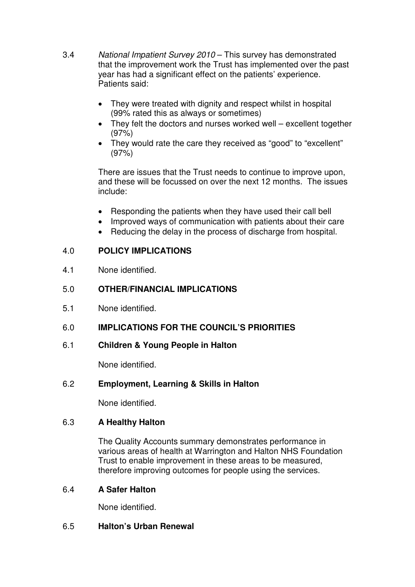- 3.4 National Impatient Survey 2010 This survey has demonstrated that the improvement work the Trust has implemented over the past year has had a significant effect on the patients' experience. Patients said:
	- They were treated with dignity and respect whilst in hospital (99% rated this as always or sometimes)
	- They felt the doctors and nurses worked well excellent together (97%)
	- They would rate the care they received as "good" to "excellent" (97%)

There are issues that the Trust needs to continue to improve upon, and these will be focussed on over the next 12 months. The issues include:

- Responding the patients when they have used their call bell
- Improved ways of communication with patients about their care
- Reducing the delay in the process of discharge from hospital.

# 4.0 **POLICY IMPLICATIONS**

4.1 None identified.

## 5.0 **OTHER/FINANCIAL IMPLICATIONS**

- 5.1 None identified.
- 6.0 **IMPLICATIONS FOR THE COUNCIL'S PRIORITIES**
- 6.1 **Children & Young People in Halton**

None identified.

# 6.2 **Employment, Learning & Skills in Halton**

None identified.

### 6.3 **A Healthy Halton**

The Quality Accounts summary demonstrates performance in various areas of health at Warrington and Halton NHS Foundation Trust to enable improvement in these areas to be measured, therefore improving outcomes for people using the services.

### 6.4 **A Safer Halton**

None identified.

### 6.5 **Halton's Urban Renewal**